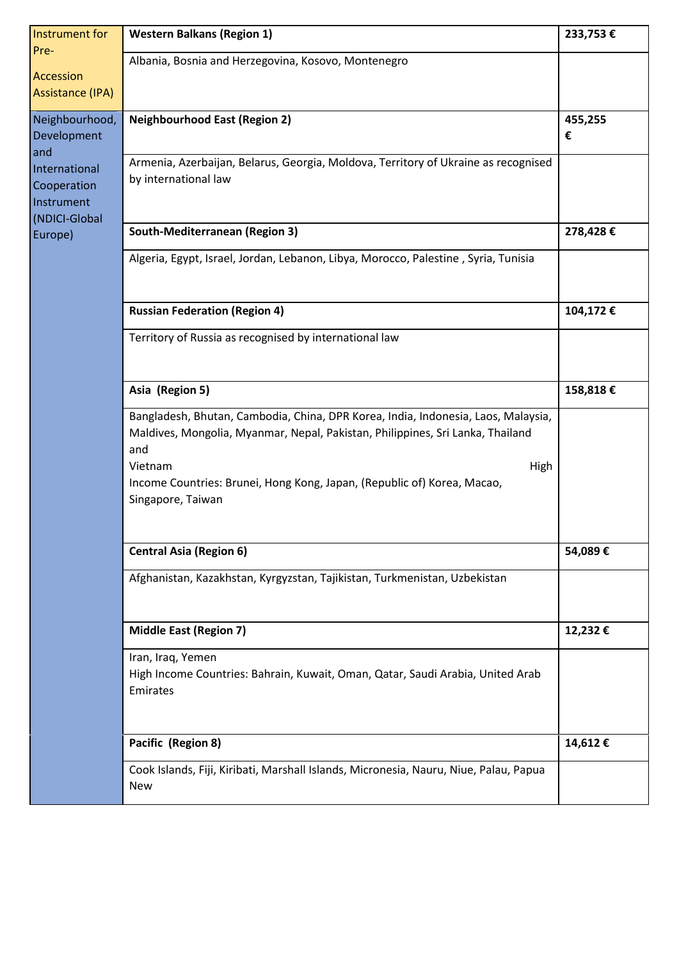| Instrument for<br>Pre-                            | <b>Western Balkans (Region 1)</b>                                                                                                                                                                                                                                                             | 233,753€ |
|---------------------------------------------------|-----------------------------------------------------------------------------------------------------------------------------------------------------------------------------------------------------------------------------------------------------------------------------------------------|----------|
|                                                   | Albania, Bosnia and Herzegovina, Kosovo, Montenegro                                                                                                                                                                                                                                           |          |
| Accession<br>Assistance (IPA)                     |                                                                                                                                                                                                                                                                                               |          |
| Neighbourhood,                                    | <b>Neighbourhood East (Region 2)</b>                                                                                                                                                                                                                                                          | 455,255  |
| Development                                       |                                                                                                                                                                                                                                                                                               | €        |
| and<br>International<br>Cooperation<br>Instrument | Armenia, Azerbaijan, Belarus, Georgia, Moldova, Territory of Ukraine as recognised<br>by international law                                                                                                                                                                                    |          |
| (NDICI-Global<br>Europe)                          | South-Mediterranean (Region 3)                                                                                                                                                                                                                                                                | 278,428€ |
|                                                   | Algeria, Egypt, Israel, Jordan, Lebanon, Libya, Morocco, Palestine, Syria, Tunisia                                                                                                                                                                                                            |          |
|                                                   | <b>Russian Federation (Region 4)</b>                                                                                                                                                                                                                                                          | 104,172€ |
|                                                   | Territory of Russia as recognised by international law                                                                                                                                                                                                                                        |          |
|                                                   | Asia (Region 5)                                                                                                                                                                                                                                                                               | 158,818€ |
|                                                   | Bangladesh, Bhutan, Cambodia, China, DPR Korea, India, Indonesia, Laos, Malaysia,<br>Maldives, Mongolia, Myanmar, Nepal, Pakistan, Philippines, Sri Lanka, Thailand<br>and<br>Vietnam<br>High<br>Income Countries: Brunei, Hong Kong, Japan, (Republic of) Korea, Macao,<br>Singapore, Taiwan |          |
|                                                   | <b>Central Asia (Region 6)</b>                                                                                                                                                                                                                                                                | 54,089€  |
|                                                   | Afghanistan, Kazakhstan, Kyrgyzstan, Tajikistan, Turkmenistan, Uzbekistan                                                                                                                                                                                                                     |          |
|                                                   | <b>Middle East (Region 7)</b>                                                                                                                                                                                                                                                                 | 12,232€  |
|                                                   | Iran, Iraq, Yemen<br>High Income Countries: Bahrain, Kuwait, Oman, Qatar, Saudi Arabia, United Arab<br>Emirates                                                                                                                                                                               |          |
|                                                   | Pacific (Region 8)                                                                                                                                                                                                                                                                            | 14,612€  |
|                                                   | Cook Islands, Fiji, Kiribati, Marshall Islands, Micronesia, Nauru, Niue, Palau, Papua<br><b>New</b>                                                                                                                                                                                           |          |